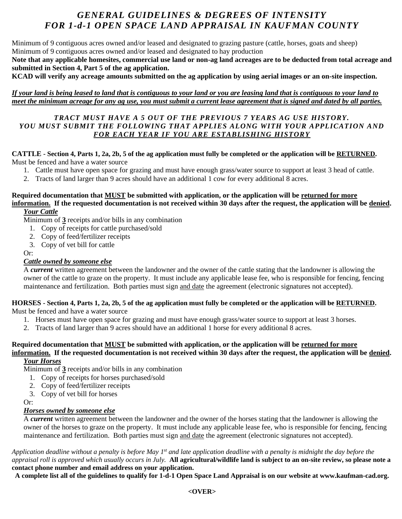# *GENERAL GUIDELINES & DEGREES OF INTENSITY FOR 1-d-1 OPEN SPACE LAND APPRAISAL IN KAUFMAN COUNTY*

Minimum of 9 contiguous acres owned and/or leased and designated to grazing pasture (cattle, horses, goats and sheep) Minimum of 9 contiguous acres owned and/or leased and designated to hay production

**Note that any applicable homesites, commercial use land or non-ag land acreages are to be deducted from total acreage and submitted in Section 4, Part 5 of the ag application.**

**KCAD will verify any acreage amounts submitted on the ag application by using aerial images or an on-site inspection.**

*If your land is being leased to land that is contiguous to your land or you are leasing land that is contiguous to your land to meet the minimum acreage for any ag use, you must submit a current lease agreement that is signed and dated by all parties.*

## *TRACT MUST HAVE A 5 OUT OF THE PREVIOUS 7 YEARS AG USE HISTORY. YOU MUST SUBMIT THE FOLLOWING THAT APPLIES ALONG WITH YOUR APPLICATION AND FOR EACH YEAR IF YOU ARE ESTABLISHING HISTORY*

#### **CATTLE - Section 4, Parts 1, 2a, 2b, 5 of the ag application must fully be completed or the application will be RETURNED.** Must be fenced and have a water source

- 1. Cattle must have open space for grazing and must have enough grass/water source to support at least 3 head of cattle.
- 2. Tracts of land larger than 9 acres should have an additional 1 cow for every additional 8 acres.

#### **Required documentation that MUST be submitted with application, or the application will be returned for more information. If the requested documentation is not received within 30 days after the request, the application will be denied.**  *Your Cattle*

Minimum of **3** receipts and/or bills in any combination

- 1. Copy of receipts for cattle purchased/sold
- 2. Copy of feed/fertilizer receipts
- 3. Copy of vet bill for cattle

Or:

## *Cattle owned by someone else*

A *current* written agreement between the landowner and the owner of the cattle stating that the landowner is allowing the owner of the cattle to graze on the property. It must include any applicable lease fee, who is responsible for fencing, fencing maintenance and fertilization. Both parties must sign and date the agreement (electronic signatures not accepted).

#### **HORSES - Section 4, Parts 1, 2a, 2b, 5 of the ag application must fully be completed or the application will be RETURNED.** Must be fenced and have a water source

- 1. Horses must have open space for grazing and must have enough grass/water source to support at least 3 horses.
- 2. Tracts of land larger than 9 acres should have an additional 1 horse for every additional 8 acres.

# **Required documentation that MUST be submitted with application, or the application will be returned for more information. If the requested documentation is not received within 30 days after the request, the application will be denied.**

*Your Horses*

Minimum of **3** receipts and/or bills in any combination

- 1. Copy of receipts for horses purchased/sold
- 2. Copy of feed/fertilizer receipts
- 3. Copy of vet bill for horses

Or:

## *Horses owned by someone else*

A *current* written agreement between the landowner and the owner of the horses stating that the landowner is allowing the owner of the horses to graze on the property. It must include any applicable lease fee, who is responsible for fencing, fencing maintenance and fertilization. Both parties must sign and date the agreement (electronic signatures not accepted).

*Application deadline without a penalty is before May 1st and late application deadline with a penalty is midnight the day before the appraisal roll is approved which usually occurs in July.* **All agricultural/wildlife land is subject to an on-site review, so please note a contact phone number and email address on your application.** 

**A complete list all of the guidelines to qualify for 1-d-1 Open Space Land Appraisal is on our website at www.kaufman-cad.org.**